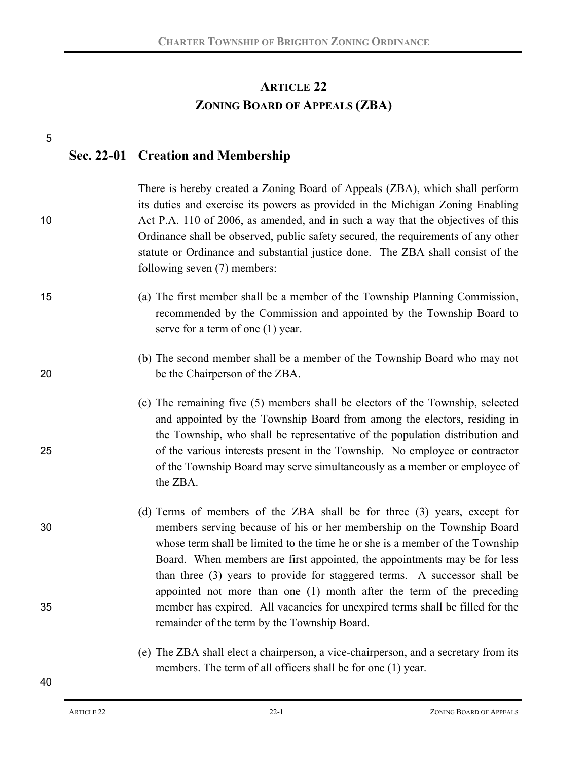# **ARTICLE 22 ZONING BOARD OF APPEALS (ZBA)**

| 5  |                                                                                                                                                                                                                                                                                                                                                                                                                                                                        |
|----|------------------------------------------------------------------------------------------------------------------------------------------------------------------------------------------------------------------------------------------------------------------------------------------------------------------------------------------------------------------------------------------------------------------------------------------------------------------------|
|    | Sec. 22-01 Creation and Membership                                                                                                                                                                                                                                                                                                                                                                                                                                     |
| 10 | There is hereby created a Zoning Board of Appeals (ZBA), which shall perform<br>its duties and exercise its powers as provided in the Michigan Zoning Enabling<br>Act P.A. 110 of 2006, as amended, and in such a way that the objectives of this<br>Ordinance shall be observed, public safety secured, the requirements of any other<br>statute or Ordinance and substantial justice done. The ZBA shall consist of the<br>following seven (7) members:              |
| 15 | (a) The first member shall be a member of the Township Planning Commission,<br>recommended by the Commission and appointed by the Township Board to<br>serve for a term of one (1) year.                                                                                                                                                                                                                                                                               |
| 20 | (b) The second member shall be a member of the Township Board who may not<br>be the Chairperson of the ZBA.                                                                                                                                                                                                                                                                                                                                                            |
| 25 | (c) The remaining five (5) members shall be electors of the Township, selected<br>and appointed by the Township Board from among the electors, residing in<br>the Township, who shall be representative of the population distribution and<br>of the various interests present in the Township. No employee or contractor<br>of the Township Board may serve simultaneously as a member or employee of<br>the ZBA.                                                     |
| 30 | (d) Terms of members of the ZBA shall be for three (3) years, except for<br>members serving because of his or her membership on the Township Board<br>whose term shall be limited to the time he or she is a member of the Township<br>Board. When members are first appointed, the appointments may be for less<br>than three (3) years to provide for staggered terms. A successor shall be<br>appointed not more than one (1) month after the term of the preceding |
| 35 | member has expired. All vacancies for unexpired terms shall be filled for the<br>remainder of the term by the Township Board.                                                                                                                                                                                                                                                                                                                                          |
|    | (e) The ZBA shall elect a chairperson, a vice-chairperson, and a secretary from its<br>members. The term of all officers shall be for one (1) year.                                                                                                                                                                                                                                                                                                                    |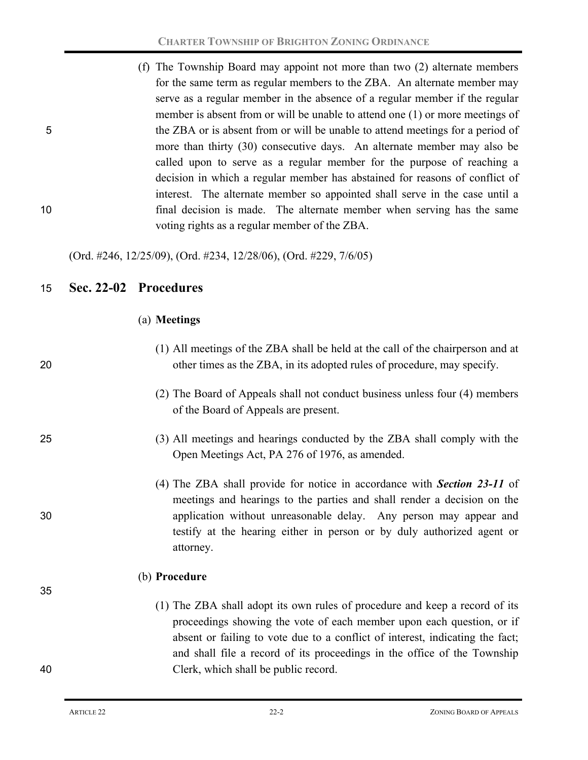(f) The Township Board may appoint not more than two (2) alternate members for the same term as regular members to the ZBA. An alternate member may serve as a regular member in the absence of a regular member if the regular member is absent from or will be unable to attend one (1) or more meetings of 5 the ZBA or is absent from or will be unable to attend meetings for a period of more than thirty (30) consecutive days. An alternate member may also be called upon to serve as a regular member for the purpose of reaching a decision in which a regular member has abstained for reasons of conflict of interest. The alternate member so appointed shall serve in the case until a 10 final decision is made. The alternate member when serving has the same voting rights as a regular member of the ZBA.

(Ord. #246, 12/25/09), (Ord. #234, 12/28/06), (Ord. #229, 7/6/05)

### 15 **Sec. 22-02 Procedures**

#### (a) **Meetings**

- (1) All meetings of the ZBA shall be held at the call of the chairperson and at 20 other times as the ZBA, in its adopted rules of procedure, may specify.
	- (2) The Board of Appeals shall not conduct business unless four (4) members of the Board of Appeals are present.
- 25 (3) All meetings and hearings conducted by the ZBA shall comply with the Open Meetings Act, PA 276 of 1976, as amended.
- (4) The ZBA shall provide for notice in accordance with *Section 23-11* of meetings and hearings to the parties and shall render a decision on the 30 application without unreasonable delay. Any person may appear and testify at the hearing either in person or by duly authorized agent or attorney.

### (b) **Procedure**

(1) The ZBA shall adopt its own rules of procedure and keep a record of its proceedings showing the vote of each member upon each question, or if absent or failing to vote due to a conflict of interest, indicating the fact; and shall file a record of its proceedings in the office of the Township 40 Clerk, which shall be public record.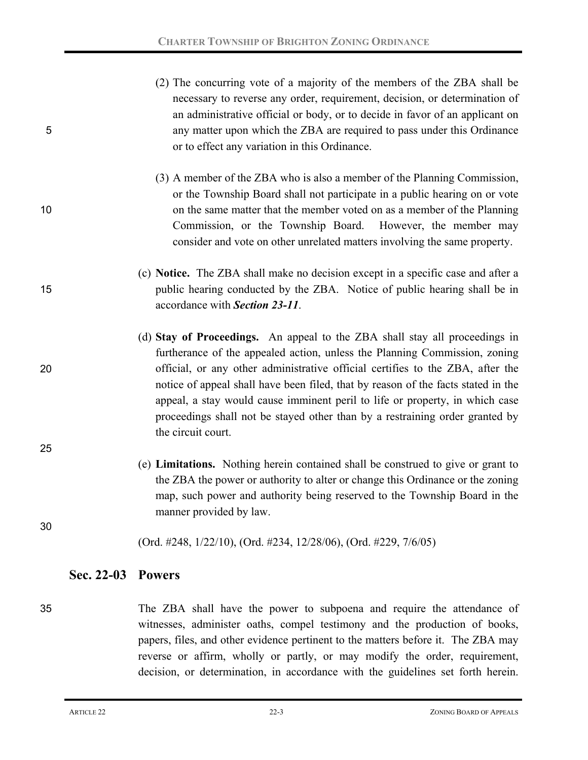- (2) The concurring vote of a majority of the members of the ZBA shall be necessary to reverse any order, requirement, decision, or determination of an administrative official or body, or to decide in favor of an applicant on 5 any matter upon which the ZBA are required to pass under this Ordinance or to effect any variation in this Ordinance.
- (3) A member of the ZBA who is also a member of the Planning Commission, or the Township Board shall not participate in a public hearing on or vote 10 on the same matter that the member voted on as a member of the Planning Commission, or the Township Board. However, the member may consider and vote on other unrelated matters involving the same property.
- (c) **Notice.** The ZBA shall make no decision except in a specific case and after a 15 public hearing conducted by the ZBA. Notice of public hearing shall be in accordance with *Section 23-11*.
- (d) **Stay of Proceedings.** An appeal to the ZBA shall stay all proceedings in furtherance of the appealed action, unless the Planning Commission, zoning 20 official, or any other administrative official certifies to the ZBA, after the notice of appeal shall have been filed, that by reason of the facts stated in the appeal, a stay would cause imminent peril to life or property, in which case proceedings shall not be stayed other than by a restraining order granted by the circuit court.
	- (e) **Limitations.** Nothing herein contained shall be construed to give or grant to the ZBA the power or authority to alter or change this Ordinance or the zoning map, such power and authority being reserved to the Township Board in the manner provided by law.
	- (Ord. #248, 1/22/10), (Ord. #234, 12/28/06), (Ord. #229, 7/6/05)

### **Sec. 22-03 Powers**

35 The ZBA shall have the power to subpoena and require the attendance of witnesses, administer oaths, compel testimony and the production of books, papers, files, and other evidence pertinent to the matters before it. The ZBA may reverse or affirm, wholly or partly, or may modify the order, requirement, decision, or determination, in accordance with the guidelines set forth herein.

25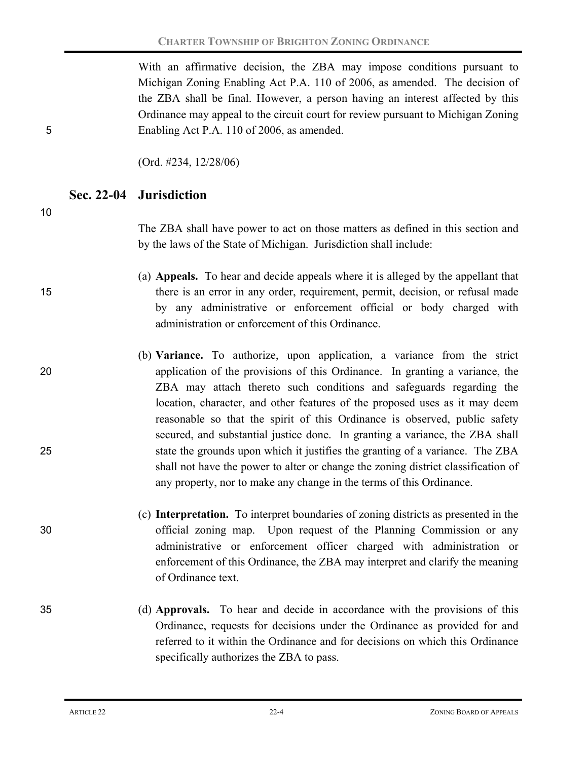With an affirmative decision, the ZBA may impose conditions pursuant to Michigan Zoning Enabling Act P.A. 110 of 2006, as amended. The decision of the ZBA shall be final. However, a person having an interest affected by this Ordinance may appeal to the circuit court for review pursuant to Michigan Zoning 5 Enabling Act P.A. 110 of 2006, as amended.

(Ord. #234, 12/28/06)

**Sec. 22-04 Jurisdiction**

10

The ZBA shall have power to act on those matters as defined in this section and by the laws of the State of Michigan. Jurisdiction shall include:

(a) **Appeals.** To hear and decide appeals where it is alleged by the appellant that 15 there is an error in any order, requirement, permit, decision, or refusal made by any administrative or enforcement official or body charged with administration or enforcement of this Ordinance.

(b) **Variance.** To authorize, upon application, a variance from the strict 20 application of the provisions of this Ordinance. In granting a variance, the ZBA may attach thereto such conditions and safeguards regarding the location, character, and other features of the proposed uses as it may deem reasonable so that the spirit of this Ordinance is observed, public safety secured, and substantial justice done. In granting a variance, the ZBA shall 25 state the grounds upon which it justifies the granting of a variance. The ZBA shall not have the power to alter or change the zoning district classification of any property, nor to make any change in the terms of this Ordinance.

(c) **Interpretation.** To interpret boundaries of zoning districts as presented in the 30 official zoning map. Upon request of the Planning Commission or any administrative or enforcement officer charged with administration or enforcement of this Ordinance, the ZBA may interpret and clarify the meaning of Ordinance text.

35 (d) **Approvals.** To hear and decide in accordance with the provisions of this Ordinance, requests for decisions under the Ordinance as provided for and referred to it within the Ordinance and for decisions on which this Ordinance specifically authorizes the ZBA to pass.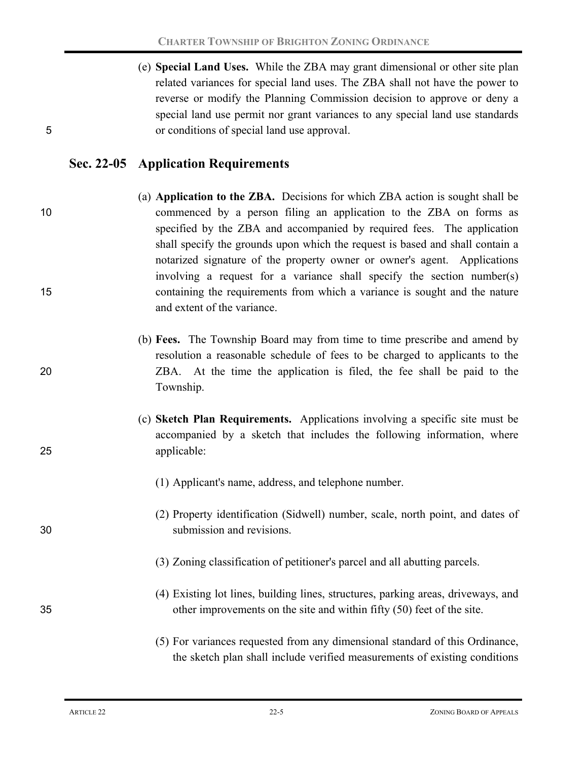(e) **Special Land Uses.** While the ZBA may grant dimensional or other site plan related variances for special land uses. The ZBA shall not have the power to reverse or modify the Planning Commission decision to approve or deny a special land use permit nor grant variances to any special land use standards 5 or conditions of special land use approval.

## **Sec. 22-05 Application Requirements**

- (a) **Application to the ZBA.** Decisions for which ZBA action is sought shall be 10 commenced by a person filing an application to the ZBA on forms as specified by the ZBA and accompanied by required fees. The application shall specify the grounds upon which the request is based and shall contain a notarized signature of the property owner or owner's agent. Applications involving a request for a variance shall specify the section number(s) 15 containing the requirements from which a variance is sought and the nature and extent of the variance.
- (b) **Fees.** The Township Board may from time to time prescribe and amend by resolution a reasonable schedule of fees to be charged to applicants to the 20 ZBA. At the time the application is filed, the fee shall be paid to the Township.
- (c) **Sketch Plan Requirements.** Applications involving a specific site must be accompanied by a sketch that includes the following information, where 25 applicable:
	- (1) Applicant's name, address, and telephone number.
- (2) Property identification (Sidwell) number, scale, north point, and dates of 30 submission and revisions.
	- (3) Zoning classification of petitioner's parcel and all abutting parcels.
- (4) Existing lot lines, building lines, structures, parking areas, driveways, and 35 other improvements on the site and within fifty (50) feet of the site.
	- (5) For variances requested from any dimensional standard of this Ordinance, the sketch plan shall include verified measurements of existing conditions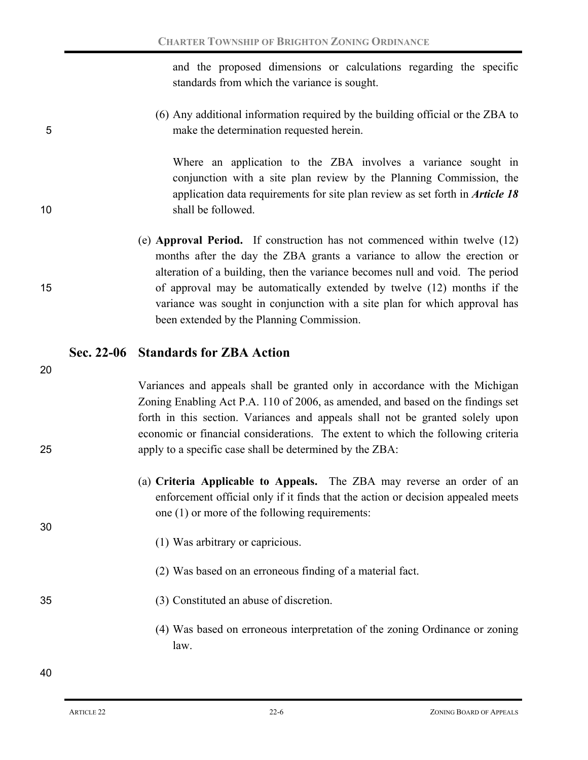and the proposed dimensions or calculations regarding the specific standards from which the variance is sought.

(6) Any additional information required by the building official or the ZBA to 5 make the determination requested herein.

Where an application to the ZBA involves a variance sought in conjunction with a site plan review by the Planning Commission, the application data requirements for site plan review as set forth in *Article 18* 10 shall be followed.

(e) **Approval Period.** If construction has not commenced within twelve (12) months after the day the ZBA grants a variance to allow the erection or alteration of a building, then the variance becomes null and void. The period 15 of approval may be automatically extended by twelve (12) months if the variance was sought in conjunction with a site plan for which approval has been extended by the Planning Commission.

## **Sec. 22-06 Standards for ZBA Action**

20

Variances and appeals shall be granted only in accordance with the Michigan Zoning Enabling Act P.A. 110 of 2006, as amended, and based on the findings set forth in this section. Variances and appeals shall not be granted solely upon economic or financial considerations. The extent to which the following criteria 25 apply to a specific case shall be determined by the ZBA:

- (a) **Criteria Applicable to Appeals.** The ZBA may reverse an order of an enforcement official only if it finds that the action or decision appealed meets one (1) or more of the following requirements:
	- (1) Was arbitrary or capricious.
	- (2) Was based on an erroneous finding of a material fact.
- 35 (3) Constituted an abuse of discretion.
	- (4) Was based on erroneous interpretation of the zoning Ordinance or zoning law.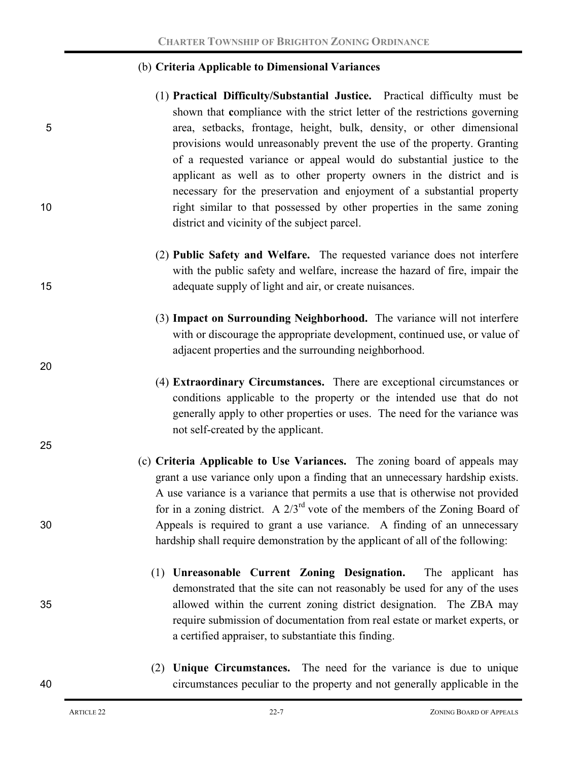#### (b) **Criteria Applicable to Dimensional Variances**

- (1) **Practical Difficulty/Substantial Justice.** Practical difficulty must be shown that **c**ompliance with the strict letter of the restrictions governing 5 area, setbacks, frontage, height, bulk, density, or other dimensional provisions would unreasonably prevent the use of the property. Granting of a requested variance or appeal would do substantial justice to the applicant as well as to other property owners in the district and is necessary for the preservation and enjoyment of a substantial property 10 right similar to that possessed by other properties in the same zoning district and vicinity of the subject parcel.
- (2) **Public Safety and Welfare.** The requested variance does not interfere with the public safety and welfare, increase the hazard of fire, impair the 15 adequate supply of light and air, or create nuisances.
	- (3) **Impact on Surrounding Neighborhood.** The variance will not interfere with or discourage the appropriate development, continued use, or value of adjacent properties and the surrounding neighborhood.
	- (4) **Extraordinary Circumstances.** There are exceptional circumstances or conditions applicable to the property or the intended use that do not generally apply to other properties or uses. The need for the variance was not self-created by the applicant.
- (c) **Criteria Applicable to Use Variances.** The zoning board of appeals may grant a use variance only upon a finding that an unnecessary hardship exists. A use variance is a variance that permits a use that is otherwise not provided for in a zoning district. A  $2/3<sup>rd</sup>$  vote of the members of the Zoning Board of 30 Appeals is required to grant a use variance. A finding of an unnecessary hardship shall require demonstration by the applicant of all of the following:
- (1) **Unreasonable Current Zoning Designation.** The applicant has demonstrated that the site can not reasonably be used for any of the uses 35 allowed within the current zoning district designation. The ZBA may require submission of documentation from real estate or market experts, or a certified appraiser, to substantiate this finding.
- (2) **Unique Circumstances.** The need for the variance is due to unique 40 circumstances peculiar to the property and not generally applicable in the

20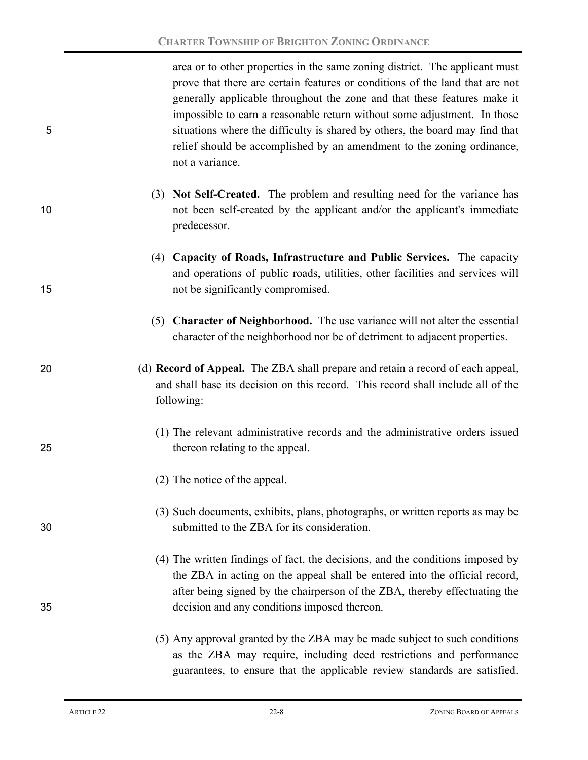area or to other properties in the same zoning district. The applicant must prove that there are certain features or conditions of the land that are not generally applicable throughout the zone and that these features make it impossible to earn a reasonable return without some adjustment. In those 5 situations where the difficulty is shared by others, the board may find that relief should be accomplished by an amendment to the zoning ordinance, not a variance.

- (3) **Not Self-Created.** The problem and resulting need for the variance has 10 not been self-created by the applicant and/or the applicant's immediate predecessor.
- (4) **Capacity of Roads, Infrastructure and Public Services.** The capacity and operations of public roads, utilities, other facilities and services will 15 hot be significantly compromised.
	- (5) **Character of Neighborhood.** The use variance will not alter the essential character of the neighborhood nor be of detriment to adjacent properties.
- 20 (d) **Record of Appeal.** The ZBA shall prepare and retain a record of each appeal, and shall base its decision on this record. This record shall include all of the following:
- (1) The relevant administrative records and the administrative orders issued 25 thereon relating to the appeal.
	- (2) The notice of the appeal.
- (3) Such documents, exhibits, plans, photographs, or written reports as may be 30 submitted to the ZBA for its consideration.
- (4) The written findings of fact, the decisions, and the conditions imposed by the ZBA in acting on the appeal shall be entered into the official record, after being signed by the chairperson of the ZBA, thereby effectuating the 35 decision and any conditions imposed thereon.
	- (5) Any approval granted by the ZBA may be made subject to such conditions as the ZBA may require, including deed restrictions and performance guarantees, to ensure that the applicable review standards are satisfied.